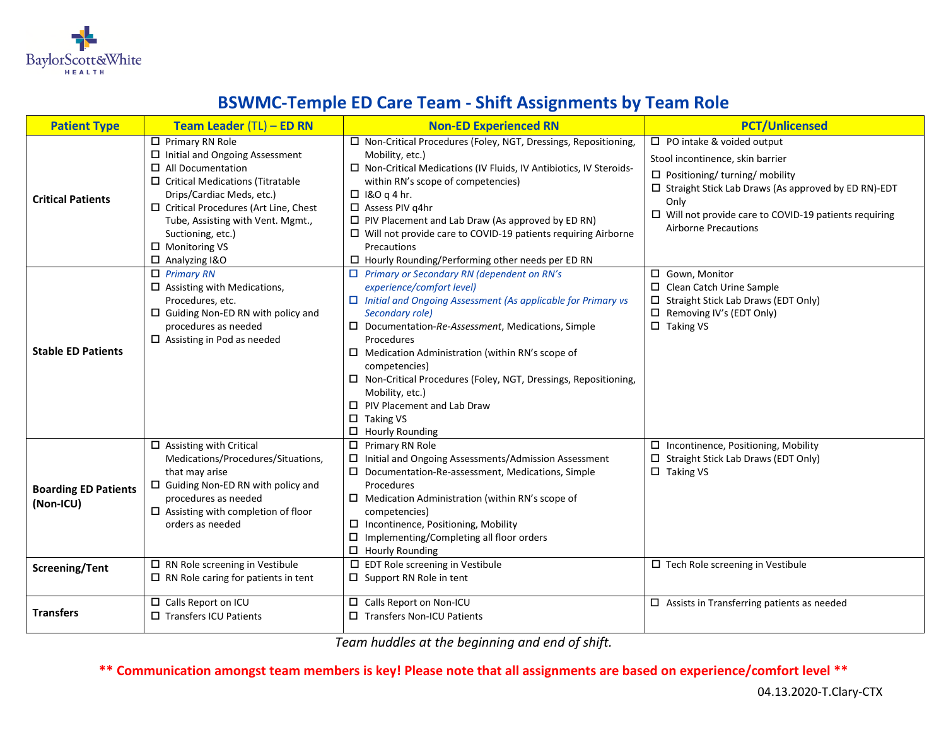

## **BSWMC-Temple ED Care Team - Shift Assignments by Team Role**

| <b>Patient Type</b>                      | Team Leader (TL) - ED RN                                                                                                                                                                                                                                                                                                           | <b>Non-ED Experienced RN</b>                                                                                                                                                                                                                                                                                                                                                                                                                                                                                   | <b>PCT/Unlicensed</b>                                                                                                                                                                                                                                                             |
|------------------------------------------|------------------------------------------------------------------------------------------------------------------------------------------------------------------------------------------------------------------------------------------------------------------------------------------------------------------------------------|----------------------------------------------------------------------------------------------------------------------------------------------------------------------------------------------------------------------------------------------------------------------------------------------------------------------------------------------------------------------------------------------------------------------------------------------------------------------------------------------------------------|-----------------------------------------------------------------------------------------------------------------------------------------------------------------------------------------------------------------------------------------------------------------------------------|
| <b>Critical Patients</b>                 | $\Box$ Primary RN Role<br>$\square$ Initial and Ongoing Assessment<br>$\Box$ All Documentation<br>$\Box$ Critical Medications (Titratable<br>Drips/Cardiac Meds, etc.)<br>$\square$ Critical Procedures (Art Line, Chest<br>Tube, Assisting with Vent. Mgmt.,<br>Suctioning, etc.)<br>$\Box$ Monitoring VS<br>$\Box$ Analyzing I&O | □ Non-Critical Procedures (Foley, NGT, Dressings, Repositioning,<br>Mobility, etc.)<br>$\Box$ Non-Critical Medications (IV Fluids, IV Antibiotics, IV Steroids-<br>within RN's scope of competencies)<br>$\Box$ 1&O q 4 hr.<br>$\Box$ Assess PIV g4hr<br>$\Box$ PIV Placement and Lab Draw (As approved by ED RN)<br>$\Box$ Will not provide care to COVID-19 patients requiring Airborne<br>Precautions<br>$\Box$ Hourly Rounding/Performing other needs per ED RN                                            | $\Box$ PO intake & voided output<br>Stool incontinence, skin barrier<br>$\Box$ Positioning/ turning/ mobility<br>$\Box$ Straight Stick Lab Draws (As approved by ED RN)-EDT<br>Only<br>$\Box$ Will not provide care to COVID-19 patients requiring<br><b>Airborne Precautions</b> |
| <b>Stable ED Patients</b>                | $\Box$ Primary RN<br>$\Box$ Assisting with Medications,<br>Procedures, etc.<br>$\Box$ Guiding Non-ED RN with policy and<br>procedures as needed<br>$\Box$ Assisting in Pod as needed                                                                                                                                               | $\Box$ Primary or Secondary RN (dependent on RN's<br>experience/comfort level)<br>$\Box$ Initial and Ongoing Assessment (As applicable for Primary vs<br>Secondary role)<br>$\square$ Documentation-Re-Assessment, Medications, Simple<br>Procedures<br>$\Box$ Medication Administration (within RN's scope of<br>competencies)<br>$\Box$ Non-Critical Procedures (Foley, NGT, Dressings, Repositioning,<br>Mobility, etc.)<br>$\Box$ PIV Placement and Lab Draw<br>$\Box$ Taking VS<br>$\Box$ Hourly Rounding | □ Gown, Monitor<br>$\Box$ Clean Catch Urine Sample<br>□ Straight Stick Lab Draws (EDT Only)<br>$\Box$ Removing IV's (EDT Only)<br>$\Box$ Taking VS                                                                                                                                |
| <b>Boarding ED Patients</b><br>(Non-ICU) | $\Box$ Assisting with Critical<br>Medications/Procedures/Situations,<br>that may arise<br>$\Box$ Guiding Non-ED RN with policy and<br>procedures as needed<br>$\square$ Assisting with completion of floor<br>orders as needed                                                                                                     | $\Box$ Primary RN Role<br>□ Initial and Ongoing Assessments/Admission Assessment<br>$\square$ Documentation-Re-assessment, Medications, Simple<br>Procedures<br>$\Box$ Medication Administration (within RN's scope of<br>competencies)<br>$\square$ Incontinence, Positioning, Mobility<br>$\square$ Implementing/Completing all floor orders<br>$\Box$ Hourly Rounding                                                                                                                                       | $\square$ Incontinence, Positioning, Mobility<br>□ Straight Stick Lab Draws (EDT Only)<br>$\Box$ Taking VS                                                                                                                                                                        |
| <b>Screening/Tent</b>                    | $\Box$ RN Role screening in Vestibule<br>$\Box$ RN Role caring for patients in tent                                                                                                                                                                                                                                                | $\square$ EDT Role screening in Vestibule<br>$\Box$ Support RN Role in tent                                                                                                                                                                                                                                                                                                                                                                                                                                    | $\Box$ Tech Role screening in Vestibule                                                                                                                                                                                                                                           |
| <b>Transfers</b>                         | □ Calls Report on ICU<br>□ Transfers ICU Patients                                                                                                                                                                                                                                                                                  | □ Calls Report on Non-ICU<br>□ Transfers Non-ICU Patients                                                                                                                                                                                                                                                                                                                                                                                                                                                      | $\Box$ Assists in Transferring patients as needed                                                                                                                                                                                                                                 |

*Team huddles at the beginning and end of shift.* 

**\*\* Communication amongst team members is key! Please note that all assignments are based on experience/comfort level \*\***